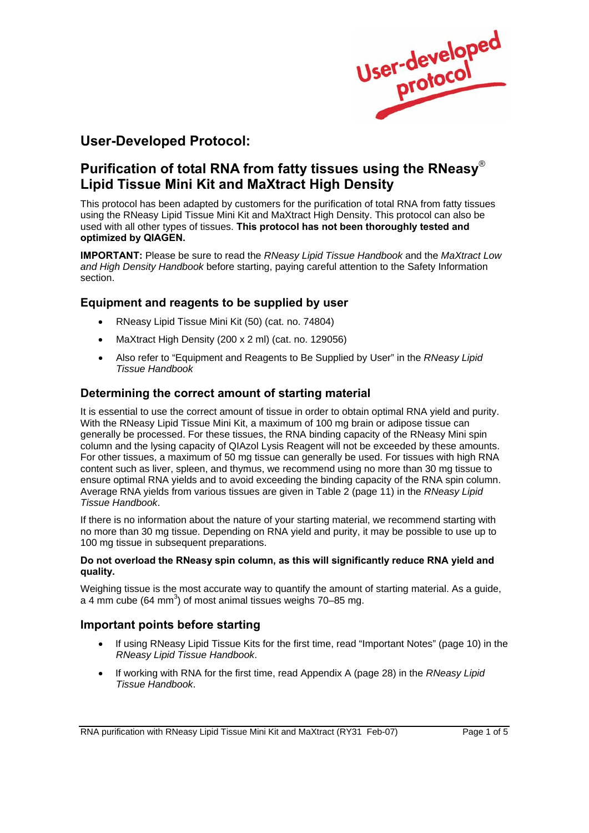

# **User-Developed Protocol:**

# **Purification of total RNA from fatty tissues using the RNeasy**® **Lipid Tissue Mini Kit and MaXtract High Density**

This protocol has been adapted by customers for the purification of total RNA from fatty tissues using the RNeasy Lipid Tissue Mini Kit and MaXtract High Density. This protocol can also be used with all other types of tissues. **This protocol has not been thoroughly tested and optimized by QIAGEN.**

**IMPORTANT:** Please be sure to read the *RNeasy Lipid Tissue Handbook* and the *MaXtract Low and High Density Handbook* before starting, paying careful attention to the Safety Information section.

# **Equipment and reagents to be supplied by user**

- RNeasy Lipid Tissue Mini Kit (50) (cat. no. 74804)
- MaXtract High Density (200 x 2 ml) (cat. no. 129056)
- Also refer to "Equipment and Reagents to Be Supplied by User" in the *RNeasy Lipid Tissue Handbook*

# **Determining the correct amount of starting material**

It is essential to use the correct amount of tissue in order to obtain optimal RNA yield and purity. With the RNeasy Lipid Tissue Mini Kit, a maximum of 100 mg brain or adipose tissue can generally be processed. For these tissues, the RNA binding capacity of the RNeasy Mini spin column and the lysing capacity of QIAzol Lysis Reagent will not be exceeded by these amounts. For other tissues, a maximum of 50 mg tissue can generally be used. For tissues with high RNA content such as liver, spleen, and thymus, we recommend using no more than 30 mg tissue to ensure optimal RNA yields and to avoid exceeding the binding capacity of the RNA spin column. Average RNA yields from various tissues are given in Table 2 (page 11) in the *RNeasy Lipid Tissue Handbook*.

If there is no information about the nature of your starting material, we recommend starting with no more than 30 mg tissue. Depending on RNA yield and purity, it may be possible to use up to 100 mg tissue in subsequent preparations.

### **Do not overload the RNeasy spin column, as this will significantly reduce RNA yield and quality.**

Weighing tissue is the most accurate way to quantify the amount of starting material. As a quide, a 4 mm cube (64 mm<sup>3</sup>) of most animal tissues weighs 70–85 mg.

# **Important points before starting**

- If using RNeasy Lipid Tissue Kits for the first time, read "Important Notes" (page 10) in the *RNeasy Lipid Tissue Handbook*.
- If working with RNA for the first time, read Appendix A (page 28) in the *RNeasy Lipid Tissue Handbook*.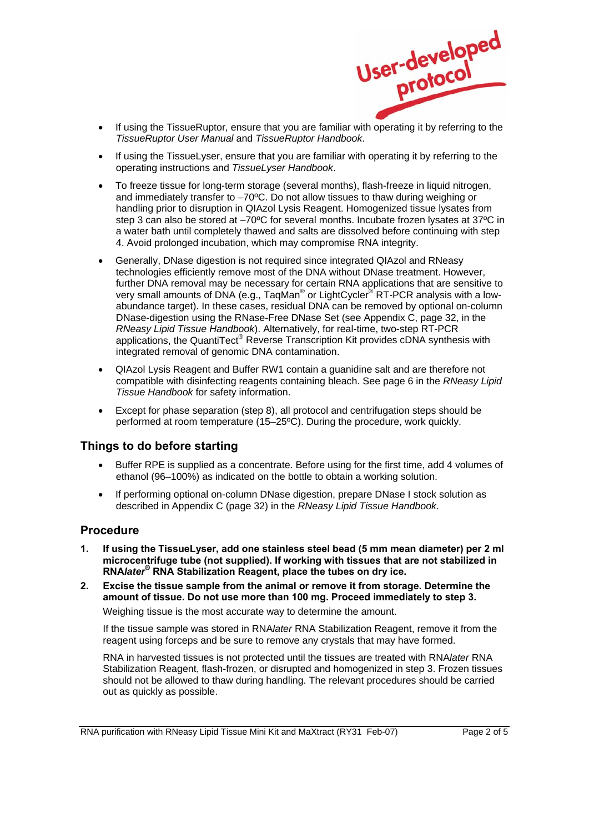

- If using the TissueRuptor, ensure that you are familiar with operating it by referring to the *TissueRuptor User Manual* and *TissueRuptor Handbook*.
- If using the TissueLyser, ensure that you are familiar with operating it by referring to the operating instructions and *TissueLyser Handbook*.
- To freeze tissue for long-term storage (several months), flash-freeze in liquid nitrogen, and immediately transfer to –70ºC. Do not allow tissues to thaw during weighing or handling prior to disruption in QIAzol Lysis Reagent. Homogenized tissue lysates from step 3 can also be stored at –70ºC for several months. Incubate frozen lysates at 37ºC in a water bath until completely thawed and salts are dissolved before continuing with step 4. Avoid prolonged incubation, which may compromise RNA integrity.
- Generally, DNase digestion is not required since integrated QIAzol and RNeasy technologies efficiently remove most of the DNA without DNase treatment. However, further DNA removal may be necessary for certain RNA applications that are sensitive to very small amounts of DNA (e.g., TaqMan<sup>®</sup> or LightCycler<sup>®'</sup>RT-PCR analysis with a lowabundance target). In these cases, residual DNA can be removed by optional on-column DNase-digestion using the RNase-Free DNase Set (see Appendix C, page 32, in the *RNeasy Lipid Tissue Handbook*). Alternatively, for real-time, two-step RT-PCR applications, the QuantiTect® Reverse Transcription Kit provides cDNA synthesis with integrated removal of genomic DNA contamination.
- QIAzol Lysis Reagent and Buffer RW1 contain a guanidine salt and are therefore not compatible with disinfecting reagents containing bleach. See page 6 in the *RNeasy Lipid Tissue Handbook* for safety information.
- Except for phase separation (step 8), all protocol and centrifugation steps should be performed at room temperature (15–25ºC). During the procedure, work quickly.

## **Things to do before starting**

- Buffer RPE is supplied as a concentrate. Before using for the first time, add 4 volumes of ethanol (96–100%) as indicated on the bottle to obtain a working solution.
- If performing optional on-column DNase digestion, prepare DNase I stock solution as described in Appendix C (page 32) in the *RNeasy Lipid Tissue Handbook*.

## **Procedure**

- **1. If using the TissueLyser, add one stainless steel bead (5 mm mean diameter) per 2 ml microcentrifuge tube (not supplied). If working with tissues that are not stabilized in RNA***later***® RNA Stabilization Reagent, place the tubes on dry ice.**
- **2. Excise the tissue sample from the animal or remove it from storage. Determine the amount of tissue. Do not use more than 100 mg. Proceed immediately to step 3.**

Weighing tissue is the most accurate way to determine the amount.

 If the tissue sample was stored in RNA*later* RNA Stabilization Reagent, remove it from the reagent using forceps and be sure to remove any crystals that may have formed.

 RNA in harvested tissues is not protected until the tissues are treated with RNA*later* RNA Stabilization Reagent, flash-frozen, or disrupted and homogenized in step 3. Frozen tissues should not be allowed to thaw during handling. The relevant procedures should be carried out as quickly as possible.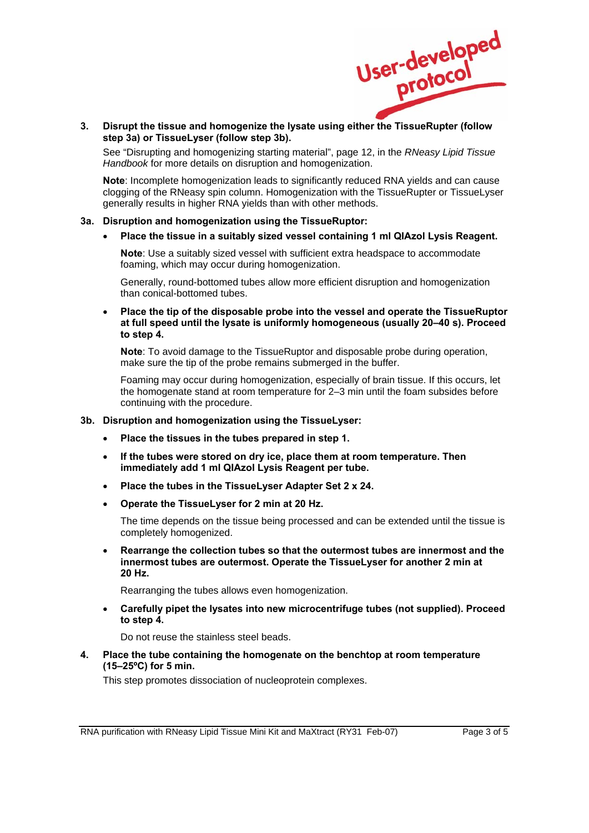

 $3.$ **3. Disrupt the tissue and homogenize the lysate using either the TissueRupter (follow step 3a) or TissueLyser (follow step 3b).** 

 See "Disrupting and homogenizing starting material", page 12, in the *RNeasy Lipid Tissue Handbook* for more details on disruption and homogenization.

**Note**: Incomplete homogenization leads to significantly reduced RNA yields and can cause clogging of the RNeasy spin column. Homogenization with the TissueRupter or TissueLyser generally results in higher RNA yields than with other methods.

#### **3a. Disruption and homogenization using the TissueRuptor:**

• **Place the tissue in a suitably sized vessel containing 1 ml QIAzol Lysis Reagent.**

**Note**: Use a suitably sized vessel with sufficient extra headspace to accommodate foaming, which may occur during homogenization.

Generally, round-bottomed tubes allow more efficient disruption and homogenization than conical-bottomed tubes.

• **Place the tip of the disposable probe into the vessel and operate the TissueRuptor at full speed until the lysate is uniformly homogeneous (usually 20–40 s). Proceed to step 4.**

**Note**: To avoid damage to the TissueRuptor and disposable probe during operation, make sure the tip of the probe remains submerged in the buffer.

Foaming may occur during homogenization, especially of brain tissue. If this occurs, let the homogenate stand at room temperature for 2–3 min until the foam subsides before continuing with the procedure.

#### **3b. Disruption and homogenization using the TissueLyser:**

- **Place the tissues in the tubes prepared in step 1.**
- **If the tubes were stored on dry ice, place them at room temperature. Then immediately add 1 ml QIAzol Lysis Reagent per tube.**
- **Place the tubes in the TissueLyser Adapter Set 2 x 24.**
- **Operate the TissueLyser for 2 min at 20 Hz.**

The time depends on the tissue being processed and can be extended until the tissue is completely homogenized.

• **Rearrange the collection tubes so that the outermost tubes are innermost and the innermost tubes are outermost. Operate the TissueLyser for another 2 min at 20 Hz.**

Rearranging the tubes allows even homogenization.

• **Carefully pipet the lysates into new microcentrifuge tubes (not supplied). Proceed to step 4.**

Do not reuse the stainless steel beads.

### **4. Place the tube containing the homogenate on the benchtop at room temperature (15–25ºC) for 5 min.**

This step promotes dissociation of nucleoprotein complexes.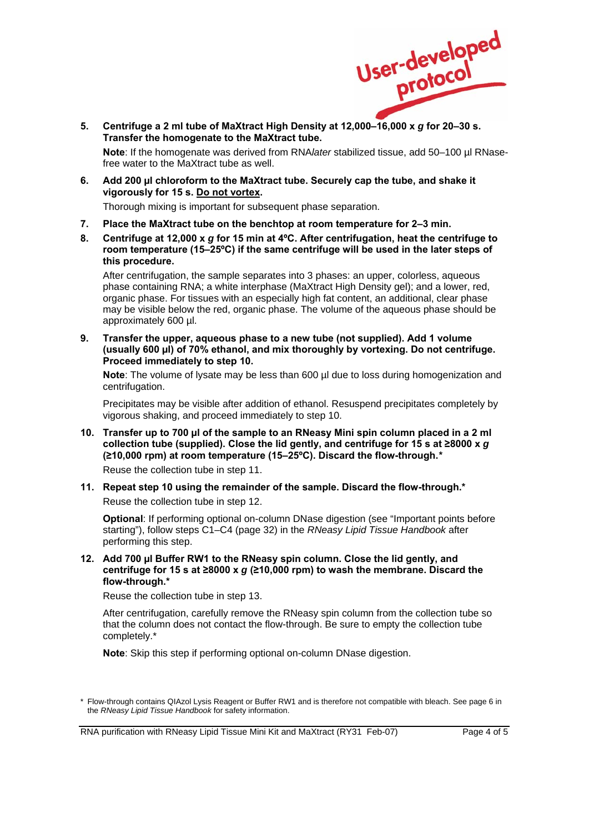

5. **5. Centrifuge a 2 ml tube of MaXtract High Density at 12,000–16,000 x** *g* **for 20–30 s. Transfer the homogenate to the MaXtract tube.** 

**Note**: If the homogenate was derived from RNA*later* stabilized tissue, add 50–100 µl RNasefree water to the MaXtract tube as well.

**6. Add 200 µl chloroform to the MaXtract tube. Securely cap the tube, and shake it vigorously for 15 s. Do not vortex.** 

Thorough mixing is important for subsequent phase separation.

- **7. Place the MaXtract tube on the benchtop at room temperature for 2–3 min.**
- **8. Centrifuge at 12,000 x** *g* **for 15 min at 4ºC. After centrifugation, heat the centrifuge to room temperature (15–25ºC) if the same centrifuge will be used in the later steps of this procedure.**

 After centrifugation, the sample separates into 3 phases: an upper, colorless, aqueous phase containing RNA; a white interphase (MaXtract High Density gel); and a lower, red, organic phase. For tissues with an especially high fat content, an additional, clear phase may be visible below the red, organic phase. The volume of the aqueous phase should be approximately 600 µl.

**9. Transfer the upper, aqueous phase to a new tube (not supplied). Add 1 volume (usually 600 µl) of 70% ethanol, and mix thoroughly by vortexing. Do not centrifuge. Proceed immediately to step 10.** 

**Note**: The volume of lysate may be less than 600 µl due to loss during homogenization and centrifugation.

 Precipitates may be visible after addition of ethanol. Resuspend precipitates completely by vigorous shaking, and proceed immediately to step 10.

- **10. Transfer up to 700 µl of the sample to an RNeasy Mini spin column placed in a 2 ml collection tube (supplied). Close the lid gently, and centrifuge for 15 s at ≥8000 x** *g* **(≥10,000 rpm) at room temperature (15–25ºC). Discard the flow-through.[\\*](#page-3-0)** Reuse the collection tube in step 11.
- **11. Repeat step 10 using the remainder of the sample. Discard the flow-through.\***

Reuse the collection tube in step 12.

**Optional**: If performing optional on-column DNase digestion (see "Important points before starting"), follow steps C1–C4 (page 32) in the *RNeasy Lipid Tissue Handbook* after performing this step.

**12. Add 700 µl Buffer RW1 to the RNeasy spin column. Close the lid gently, and centrifuge for 15 s at ≥8000 x** *g* **(≥10,000 rpm) to wash the membrane. Discard the flow-through.\*** 

Reuse the collection tube in step 13.

 After centrifugation, carefully remove the RNeasy spin column from the collection tube so that the column does not contact the flow-through. Be sure to empty the collection tube completely.\*

**Note**: Skip this step if performing optional on-column DNase digestion.

RNA purification with RNeasy Lipid Tissue Mini Kit and MaXtract (RY31 Feb-07) Page 4 of 5

<span id="page-3-0"></span><sup>\*</sup> Flow-through contains QIAzol Lysis Reagent or Buffer RW1 and is therefore not compatible with bleach. See page 6 in the *RNeasy Lipid Tissue Handbook* for safety information.